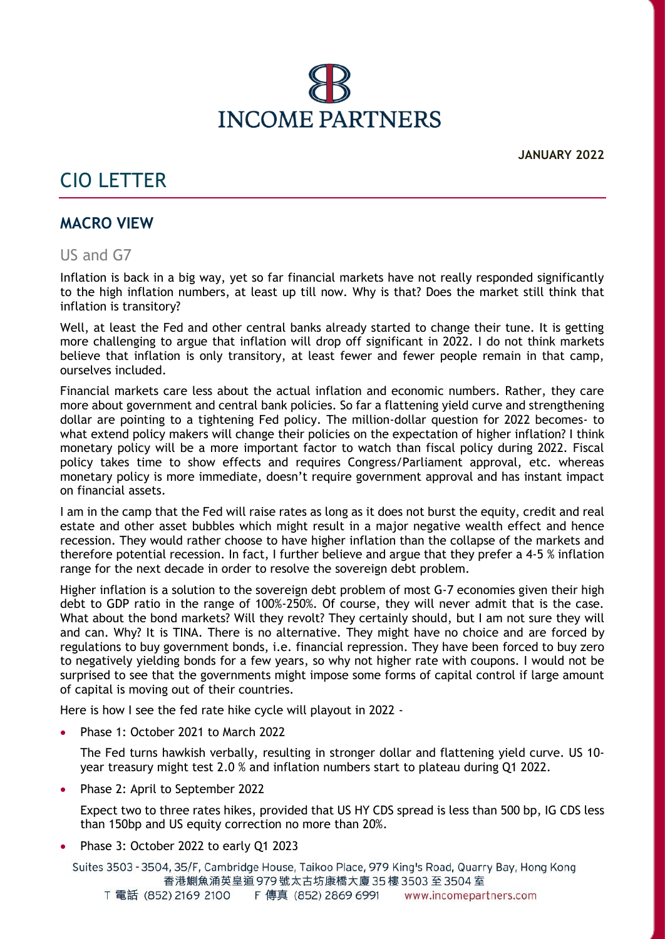

# CIO LETTER

## **MACRO VIEW**

US and G7

Inflation is back in a big way, yet so far financial markets have not really responded significantly to the high inflation numbers, at least up till now. Why is that? Does the market still think that inflation is transitory?

Well, at least the Fed and other central banks already started to change their tune. It is getting more challenging to argue that inflation will drop off significant in 2022. I do not think markets believe that inflation is only transitory, at least fewer and fewer people remain in that camp, ourselves included.

Financial markets care less about the actual inflation and economic numbers. Rather, they care more about government and central bank policies. So far a flattening yield curve and strengthening dollar are pointing to a tightening Fed policy. The million-dollar question for 2022 becomes- to what extend policy makers will change their policies on the expectation of higher inflation? I think monetary policy will be a more important factor to watch than fiscal policy during 2022. Fiscal policy takes time to show effects and requires Congress/Parliament approval, etc. whereas monetary policy is more immediate, doesn't require government approval and has instant impact on financial assets.

I am in the camp that the Fed will raise rates as long as it does not burst the equity, credit and real estate and other asset bubbles which might result in a major negative wealth effect and hence recession. They would rather choose to have higher inflation than the collapse of the markets and therefore potential recession. In fact, I further believe and argue that they prefer a 4-5 % inflation range for the next decade in order to resolve the sovereign debt problem.

Higher inflation is a solution to the sovereign debt problem of most G-7 economies given their high debt to GDP ratio in the range of 100%-250%. Of course, they will never admit that is the case. What about the bond markets? Will they revolt? They certainly should, but I am not sure they will and can. Why? It is TINA. There is no alternative. They might have no choice and are forced by regulations to buy government bonds, i.e. financial repression. They have been forced to buy zero to negatively yielding bonds for a few years, so why not higher rate with coupons. I would not be surprised to see that the governments might impose some forms of capital control if large amount of capital is moving out of their countries.

Here is how I see the fed rate hike cycle will playout in 2022 -

Phase 1: October 2021 to March 2022

The Fed turns hawkish verbally, resulting in stronger dollar and flattening yield curve. US 10 year treasury might test 2.0 % and inflation numbers start to plateau during Q1 2022.

Phase 2: April to September 2022

Expect two to three rates hikes, provided that US HY CDS spread is less than 500 bp, IG CDS less than 150bp and US equity correction no more than 20%.

Phase 3: October 2022 to early Q1 2023

Suites 3503 - 3504, 35/F, Cambridge House, Taikoo Place, 979 King's Road, Quarry Bay, Hong Kong 香港鰂魚涌英皇道 979 號太古坊康橋大廈 35 樓 3503 至 3504 室 T 電話 (852) 2169 2100 F 傳真 (852) 2869 6991 www.incomepartners.com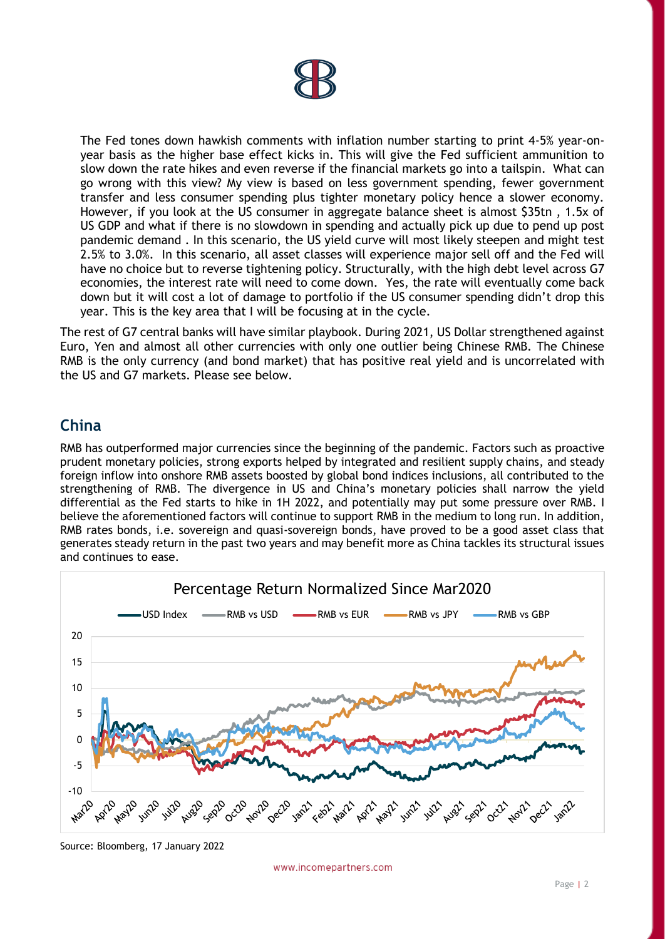The Fed tones down hawkish comments with inflation number starting to print 4-5% year-onyear basis as the higher base effect kicks in. This will give the Fed sufficient ammunition to slow down the rate hikes and even reverse if the financial markets go into a tailspin. What can go wrong with this view? My view is based on less government spending, fewer government transfer and less consumer spending plus tighter monetary policy hence a slower economy. However, if you look at the US consumer in aggregate balance sheet is almost \$35tn , 1.5x of US GDP and what if there is no slowdown in spending and actually pick up due to pend up post pandemic demand . In this scenario, the US yield curve will most likely steepen and might test 2.5% to 3.0%. In this scenario, all asset classes will experience major sell off and the Fed will have no choice but to reverse tightening policy. Structurally, with the high debt level across G7 economies, the interest rate will need to come down. Yes, the rate will eventually come back down but it will cost a lot of damage to portfolio if the US consumer spending didn't drop this year. This is the key area that I will be focusing at in the cycle.

The rest of G7 central banks will have similar playbook. During 2021, US Dollar strengthened against Euro, Yen and almost all other currencies with only one outlier being Chinese RMB. The Chinese RMB is the only currency (and bond market) that has positive real yield and is uncorrelated with the US and G7 markets. Please see below.

## **China**

RMB has outperformed major currencies since the beginning of the pandemic. Factors such as proactive prudent monetary policies, strong exports helped by integrated and resilient supply chains, and steady foreign inflow into onshore RMB assets boosted by global bond indices inclusions, all contributed to the strengthening of RMB. The divergence in US and China's monetary policies shall narrow the yield differential as the Fed starts to hike in 1H 2022, and potentially may put some pressure over RMB. I believe the aforementioned factors will continue to support RMB in the medium to long run. In addition, RMB rates bonds, i.e. sovereign and quasi-sovereign bonds, have proved to be a good asset class that generates steady return in the past two years and may benefit more as China tackles its structural issues and continues to ease.



Source: Bloomberg, 17 January 2022

www.incomepartners.com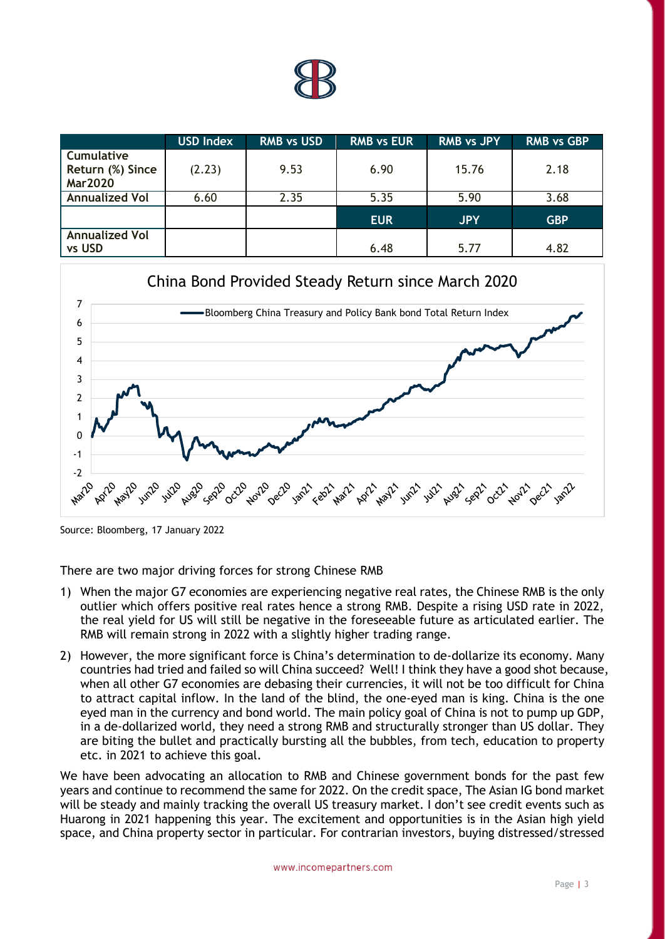

|                                                         | <b>USD Index</b> | <b>RMB vs USD</b> | <b>RMB vs EUR</b> | <b>RMB vs JPY</b> | <b>RMB vs GBP</b> |
|---------------------------------------------------------|------------------|-------------------|-------------------|-------------------|-------------------|
| <b>Cumulative</b><br>Return (%) Since<br><b>Mar2020</b> | (2.23)           | 9.53              | 6.90              | 15.76             | 2.18              |
| <b>Annualized Vol</b>                                   | 6.60             | 2.35              | 5.35              | 5.90              | 3.68              |
|                                                         |                  |                   | <b>EUR</b>        | <b>JPY</b>        | <b>GBP</b>        |
| <b>Annualized Vol</b><br>vs USD                         |                  |                   | 6.48              | 5.77              | 4.82              |



Source: Bloomberg, 17 January 2022

There are two major driving forces for strong Chinese RMB

- 1) When the major G7 economies are experiencing negative real rates, the Chinese RMB is the only outlier which offers positive real rates hence a strong RMB. Despite a rising USD rate in 2022, the real yield for US will still be negative in the foreseeable future as articulated earlier. The RMB will remain strong in 2022 with a slightly higher trading range.
- 2) However, the more significant force is China's determination to de-dollarize its economy. Many countries had tried and failed so will China succeed? Well! I think they have a good shot because, when all other G7 economies are debasing their currencies, it will not be too difficult for China to attract capital inflow. In the land of the blind, the one-eyed man is king. China is the one eyed man in the currency and bond world. The main policy goal of China is not to pump up GDP, in a de-dollarized world, they need a strong RMB and structurally stronger than US dollar. They are biting the bullet and practically bursting all the bubbles, from tech, education to property etc. in 2021 to achieve this goal.

We have been advocating an allocation to RMB and Chinese government bonds for the past few years and continue to recommend the same for 2022. On the credit space, The Asian IG bond market will be steady and mainly tracking the overall US treasury market. I don't see credit events such as Huarong in 2021 happening this year. The excitement and opportunities is in the Asian high yield space, and China property sector in particular. For contrarian investors, buying distressed/stressed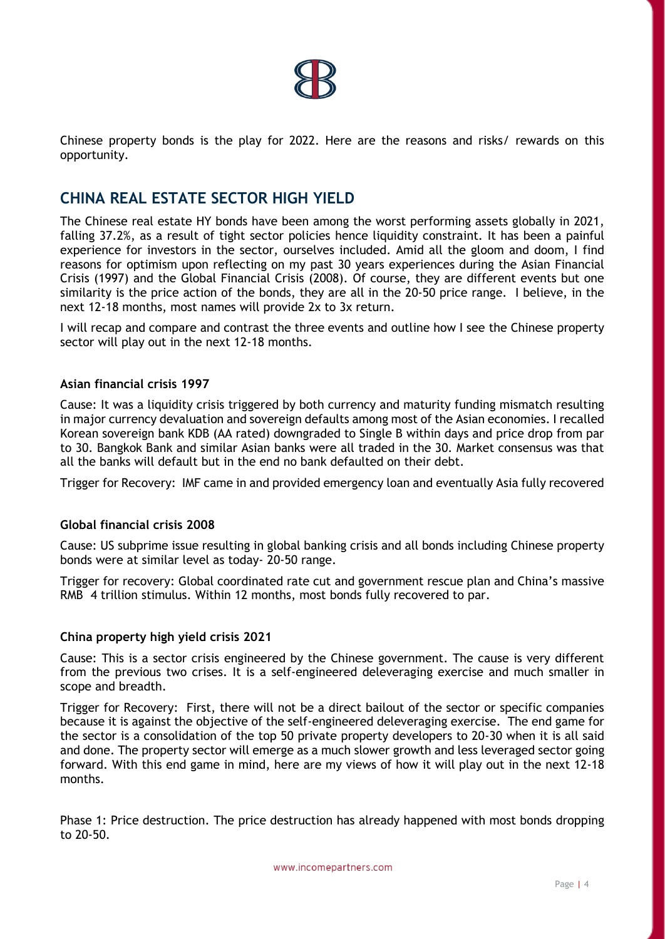

Chinese property bonds is the play for 2022. Here are the reasons and risks/ rewards on this opportunity.

## **CHINA REAL ESTATE SECTOR HIGH YIELD**

The Chinese real estate HY bonds have been among the worst performing assets globally in 2021, falling 37.2%, as a result of tight sector policies hence liquidity constraint. It has been a painful experience for investors in the sector, ourselves included. Amid all the gloom and doom, I find reasons for optimism upon reflecting on my past 30 years experiences during the Asian Financial Crisis (1997) and the Global Financial Crisis (2008). Of course, they are different events but one similarity is the price action of the bonds, they are all in the 20-50 price range. I believe, in the next 12-18 months, most names will provide 2x to 3x return.

I will recap and compare and contrast the three events and outline how I see the Chinese property sector will play out in the next 12-18 months.

#### **Asian financial crisis 1997**

Cause: It was a liquidity crisis triggered by both currency and maturity funding mismatch resulting in major currency devaluation and sovereign defaults among most of the Asian economies. I recalled Korean sovereign bank KDB (AA rated) downgraded to Single B within days and price drop from par to 30. Bangkok Bank and similar Asian banks were all traded in the 30. Market consensus was that all the banks will default but in the end no bank defaulted on their debt.

Trigger for Recovery: IMF came in and provided emergency loan and eventually Asia fully recovered

## **Global financial crisis 2008**

Cause: US subprime issue resulting in global banking crisis and all bonds including Chinese property bonds were at similar level as today- 20-50 range.

Trigger for recovery: Global coordinated rate cut and government rescue plan and China's massive RMB 4 trillion stimulus. Within 12 months, most bonds fully recovered to par.

## **China property high yield crisis 2021**

Cause: This is a sector crisis engineered by the Chinese government. The cause is very different from the previous two crises. It is a self-engineered deleveraging exercise and much smaller in scope and breadth.

and denote the property becaust that entity are a much because growth and test to carged because gaing forward. With this end game in mind, here are my views of how it will play out in the next 12-18 Trigger for Recovery: First, there will not be a direct bailout of the sector or specific companies because it is against the objective of the self-engineered deleveraging exercise. The end game for the sector is a consolidation of the top 50 private property developers to 20-30 when it is all said and done. The property sector will emerge as a much slower growth and less leveraged sector going months.

Phase 1: Price destruction. The price destruction has already happened with most bonds dropping to 20-50.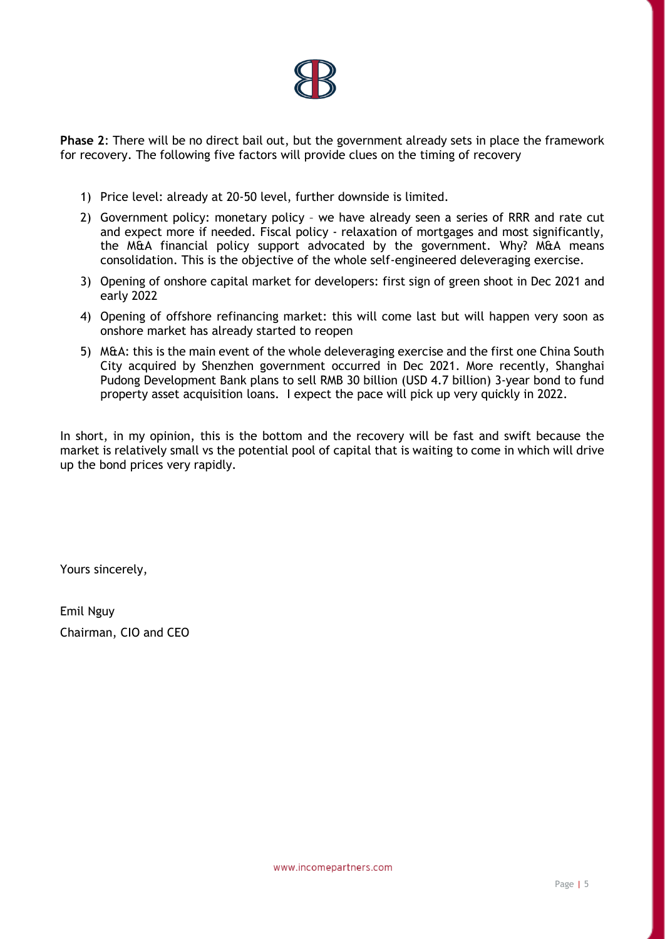

**Phase 2**: There will be no direct bail out, but the government already sets in place the framework for recovery. The following five factors will provide clues on the timing of recovery

- 1) Price level: already at 20-50 level, further downside is limited.
- 2) Government policy: monetary policy we have already seen a series of RRR and rate cut and expect more if needed. Fiscal policy - relaxation of mortgages and most significantly, the M&A financial policy support advocated by the government. Why? M&A means consolidation. This is the objective of the whole self-engineered deleveraging exercise.
- 3) Opening of onshore capital market for developers: first sign of green shoot in Dec 2021 and early 2022
- 4) Opening of offshore refinancing market: this will come last but will happen very soon as onshore market has already started to reopen
- 5) M&A: this is the main event of the whole deleveraging exercise and the first one China South City acquired by Shenzhen government occurred in Dec 2021. More recently, Shanghai Pudong Development Bank plans to sell RMB 30 billion (USD 4.7 billion) 3-year bond to fund property asset acquisition loans. I expect the pace will pick up very quickly in 2022.

In short, in my opinion, this is the bottom and the recovery will be fast and swift because the market is relatively small vs the potential pool of capital that is waiting to come in which will drive up the bond prices very rapidly.

Yours sincerely,

Emil Nguy Chairman, CIO and CEO